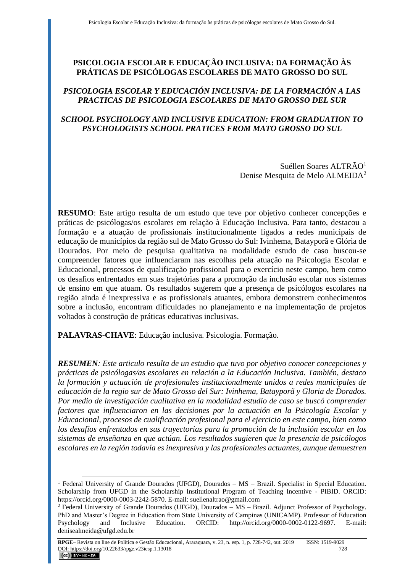# **PSICOLOGIA ESCOLAR E EDUCAÇÃO INCLUSIVA: DA FORMAÇÃO ÀS PRÁTICAS DE PSICÓLOGAS ESCOLARES DE MATO GROSSO DO SUL**

## *PSICOLOGIA ESCOLAR Y EDUCACIÓN INCLUSIVA: DE LA FORMACIÓN A LAS PRACTICAS DE PSICOLOGIA ESCOLARES DE MATO GROSSO DEL SUR*

## *SCHOOL PSYCHOLOGY AND INCLUSIVE EDUCATION: FROM GRADUATION TO PSYCHOLOGISTS SCHOOL PRATICES FROM MATO GROSSO DO SUL*

Suéllen Soares ALTRÃO<sup>1</sup> Denise Mesquita de Melo ALMEIDA<sup>2</sup>

**RESUMO**: Este artigo resulta de um estudo que teve por objetivo conhecer concepções e práticas de psicólogas/os escolares em relação à Educação Inclusiva. Para tanto, destacou a formação e a atuação de profissionais institucionalmente ligados a redes municipais de educação de municípios da região sul de Mato Grosso do Sul: Ivinhema, Batayporã e Glória de Dourados. Por meio de pesquisa qualitativa na modalidade estudo de caso buscou-se compreender fatores que influenciaram nas escolhas pela atuação na Psicologia Escolar e Educacional, processos de qualificação profissional para o exercício neste campo, bem como os desafios enfrentados em suas trajetórias para a promoção da inclusão escolar nos sistemas de ensino em que atuam. Os resultados sugerem que a presença de psicólogos escolares na região ainda é inexpressiva e as profissionais atuantes, embora demonstrem conhecimentos sobre a inclusão, encontram dificuldades no planejamento e na implementação de projetos voltados à construção de práticas educativas inclusivas.

**PALAVRAS-CHAVE**: Educação inclusiva. Psicologia. Formação.

*RESUMEN: Este articulo resulta de un estudio que tuvo por objetivo conocer concepciones y prácticas de psicólogas/as escolares en relación a la Educación Inclusiva. También, destaco la formación y actuación de profesionales institucionalmente unidos a redes municipales de educación de la regio sur de Mato Grosso del Sur: Ivinhema, Batayporã y Gloria de Dorados. Por medio de investigación cualitativa en la modalidad estudio de caso se buscó comprender factores que influenciaron en las decisiones por la actuación en la Psicología Escolar y Educacional, procesos de cualificación profesional para el ejercicio en este campo, bien como los desafíos enfrentados en sus trayectorias para la promoción de la inclusión escolar en los sistemas de enseñanza en que actúan. Los resultados sugieren que la presencia de psicólogos escolares en la región todavía es inexpresiva y las profesionales actuantes, aunque demuestren* 

<sup>&</sup>lt;sup>1</sup> Federal University of Grande Dourados (UFGD), Dourados – MS – Brazil. Specialist in Special Education. Scholarship from UFGD in the Scholarship Institutional Program of Teaching Incentive - PIBID. ORCID: https://orcid.org/0000-0003-2242-5870. E-mail: suellenaltrao@gmail.com

<sup>2</sup> Federal University of Grande Dourados (UFGD), Dourados – MS – Brazil. Adjunct Professor of Psychology. PhD and Master's Degree in Education from State University of Campinas (UNICAMP). Professor of Education Psychology and Inclusive Education. ORCID: http://orcid.org/0000-0002-0122-9697. E-mail: denisealmeida@ufgd.edu.br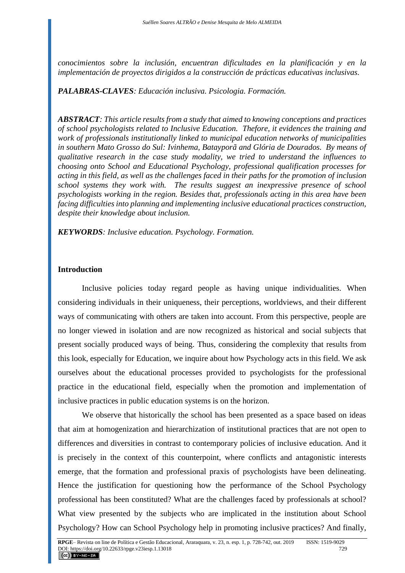*conocimientos sobre la inclusión, encuentran dificultades en la planificación y en la implementación de proyectos dirigidos a la construcción de prácticas educativas inclusivas.*

### *PALABRAS-CLAVES: Educación inclusiva. Psicologia. Formación.*

*ABSTRACT: This article results from a study that aimed to knowing conceptions and practices of school psychologists related to Inclusive Education. Thefore, it evidences the training and work of professionals institutionally linked to municipal education networks of municipalities in southern Mato Grosso do Sul: Ivinhema, Batayporã and Glória de Dourados. By means of qualitative research in the case study modality, we tried to understand the influences to choosing onto School and Educational Psychology, professional qualification processes for acting in this field, as well as the challenges faced in their paths for the promotion of inclusion school systems they work with. The results suggest an inexpressive presence of school psychologists working in the region. Besides that, professionals acting in this area have been facing difficulties into planning and implementing inclusive educational practices construction, despite their knowledge about inclusion.*

*KEYWORDS: Inclusive education. Psychology. Formation.*

### **Introduction**

Inclusive policies today regard people as having unique individualities. When considering individuals in their uniqueness, their perceptions, worldviews, and their different ways of communicating with others are taken into account. From this perspective, people are no longer viewed in isolation and are now recognized as historical and social subjects that present socially produced ways of being. Thus, considering the complexity that results from this look, especially for Education, we inquire about how Psychology acts in this field. We ask ourselves about the educational processes provided to psychologists for the professional practice in the educational field, especially when the promotion and implementation of inclusive practices in public education systems is on the horizon.

We observe that historically the school has been presented as a space based on ideas that aim at homogenization and hierarchization of institutional practices that are not open to differences and diversities in contrast to contemporary policies of inclusive education. And it is precisely in the context of this counterpoint, where conflicts and antagonistic interests emerge, that the formation and professional praxis of psychologists have been delineating. Hence the justification for questioning how the performance of the School Psychology professional has been constituted? What are the challenges faced by professionals at school? What view presented by the subjects who are implicated in the institution about School Psychology? How can School Psychology help in promoting inclusive practices? And finally,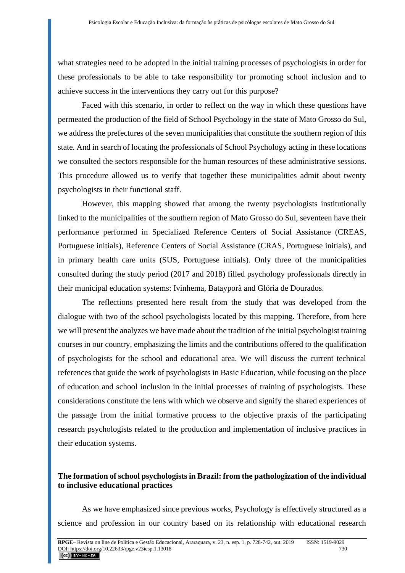what strategies need to be adopted in the initial training processes of psychologists in order for these professionals to be able to take responsibility for promoting school inclusion and to achieve success in the interventions they carry out for this purpose?

Faced with this scenario, in order to reflect on the way in which these questions have permeated the production of the field of School Psychology in the state of Mato Grosso do Sul, we address the prefectures of the seven municipalities that constitute the southern region of this state. And in search of locating the professionals of School Psychology acting in these locations we consulted the sectors responsible for the human resources of these administrative sessions. This procedure allowed us to verify that together these municipalities admit about twenty psychologists in their functional staff.

However, this mapping showed that among the twenty psychologists institutionally linked to the municipalities of the southern region of Mato Grosso do Sul, seventeen have their performance performed in Specialized Reference Centers of Social Assistance (CREAS, Portuguese initials), Reference Centers of Social Assistance (CRAS, Portuguese initials), and in primary health care units (SUS, Portuguese initials). Only three of the municipalities consulted during the study period (2017 and 2018) filled psychology professionals directly in their municipal education systems: Ivinhema, Batayporã and Glória de Dourados.

The reflections presented here result from the study that was developed from the dialogue with two of the school psychologists located by this mapping. Therefore, from here we will present the analyzes we have made about the tradition of the initial psychologist training courses in our country, emphasizing the limits and the contributions offered to the qualification of psychologists for the school and educational area. We will discuss the current technical references that guide the work of psychologists in Basic Education, while focusing on the place of education and school inclusion in the initial processes of training of psychologists. These considerations constitute the lens with which we observe and signify the shared experiences of the passage from the initial formative process to the objective praxis of the participating research psychologists related to the production and implementation of inclusive practices in their education systems.

## **The formation of school psychologists in Brazil: from the pathologization of the individual to inclusive educational practices**

As we have emphasized since previous works, Psychology is effectively structured as a science and profession in our country based on its relationship with educational research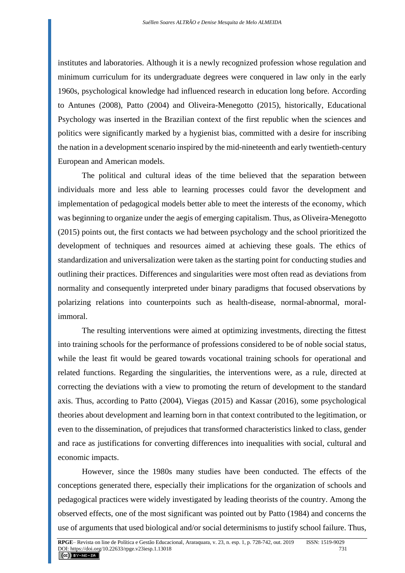institutes and laboratories. Although it is a newly recognized profession whose regulation and minimum curriculum for its undergraduate degrees were conquered in law only in the early 1960s, psychological knowledge had influenced research in education long before. According to Antunes (2008), Patto (2004) and Oliveira-Menegotto (2015), historically, Educational Psychology was inserted in the Brazilian context of the first republic when the sciences and politics were significantly marked by a hygienist bias, committed with a desire for inscribing the nation in a development scenario inspired by the mid-nineteenth and early twentieth-century European and American models.

The political and cultural ideas of the time believed that the separation between individuals more and less able to learning processes could favor the development and implementation of pedagogical models better able to meet the interests of the economy, which was beginning to organize under the aegis of emerging capitalism. Thus, as Oliveira-Menegotto (2015) points out, the first contacts we had between psychology and the school prioritized the development of techniques and resources aimed at achieving these goals. The ethics of standardization and universalization were taken as the starting point for conducting studies and outlining their practices. Differences and singularities were most often read as deviations from normality and consequently interpreted under binary paradigms that focused observations by polarizing relations into counterpoints such as health-disease, normal-abnormal, moralimmoral.

The resulting interventions were aimed at optimizing investments, directing the fittest into training schools for the performance of professions considered to be of noble social status, while the least fit would be geared towards vocational training schools for operational and related functions. Regarding the singularities, the interventions were, as a rule, directed at correcting the deviations with a view to promoting the return of development to the standard axis. Thus, according to Patto (2004), Viegas (2015) and Kassar (2016), some psychological theories about development and learning born in that context contributed to the legitimation, or even to the dissemination, of prejudices that transformed characteristics linked to class, gender and race as justifications for converting differences into inequalities with social, cultural and economic impacts.

However, since the 1980s many studies have been conducted. The effects of the conceptions generated there, especially their implications for the organization of schools and pedagogical practices were widely investigated by leading theorists of the country. Among the observed effects, one of the most significant was pointed out by Patto (1984) and concerns the use of arguments that used biological and/or social determinisms to justify school failure. Thus,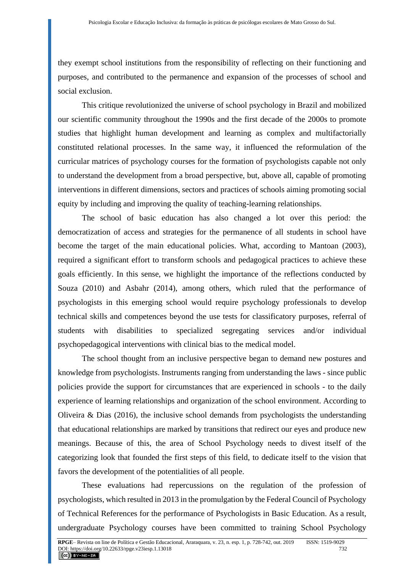they exempt school institutions from the responsibility of reflecting on their functioning and purposes, and contributed to the permanence and expansion of the processes of school and social exclusion.

This critique revolutionized the universe of school psychology in Brazil and mobilized our scientific community throughout the 1990s and the first decade of the 2000s to promote studies that highlight human development and learning as complex and multifactorially constituted relational processes. In the same way, it influenced the reformulation of the curricular matrices of psychology courses for the formation of psychologists capable not only to understand the development from a broad perspective, but, above all, capable of promoting interventions in different dimensions, sectors and practices of schools aiming promoting social equity by including and improving the quality of teaching-learning relationships.

The school of basic education has also changed a lot over this period: the democratization of access and strategies for the permanence of all students in school have become the target of the main educational policies. What, according to Mantoan (2003), required a significant effort to transform schools and pedagogical practices to achieve these goals efficiently. In this sense, we highlight the importance of the reflections conducted by Souza (2010) and Asbahr (2014), among others, which ruled that the performance of psychologists in this emerging school would require psychology professionals to develop technical skills and competences beyond the use tests for classificatory purposes, referral of students with disabilities to specialized segregating services and/or individual psychopedagogical interventions with clinical bias to the medical model.

The school thought from an inclusive perspective began to demand new postures and knowledge from psychologists. Instruments ranging from understanding the laws - since public policies provide the support for circumstances that are experienced in schools - to the daily experience of learning relationships and organization of the school environment. According to Oliveira & Dias (2016), the inclusive school demands from psychologists the understanding that educational relationships are marked by transitions that redirect our eyes and produce new meanings. Because of this, the area of School Psychology needs to divest itself of the categorizing look that founded the first steps of this field, to dedicate itself to the vision that favors the development of the potentialities of all people.

These evaluations had repercussions on the regulation of the profession of psychologists, which resulted in 2013 in the promulgation by the Federal Council of Psychology of Technical References for the performance of Psychologists in Basic Education. As a result, undergraduate Psychology courses have been committed to training School Psychology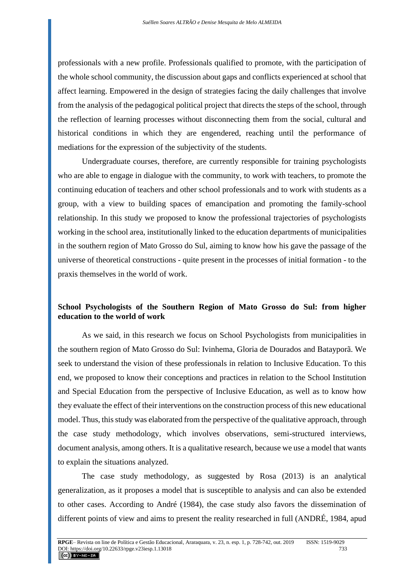professionals with a new profile. Professionals qualified to promote, with the participation of the whole school community, the discussion about gaps and conflicts experienced at school that affect learning. Empowered in the design of strategies facing the daily challenges that involve from the analysis of the pedagogical political project that directs the steps of the school, through the reflection of learning processes without disconnecting them from the social, cultural and historical conditions in which they are engendered, reaching until the performance of mediations for the expression of the subjectivity of the students.

Undergraduate courses, therefore, are currently responsible for training psychologists who are able to engage in dialogue with the community, to work with teachers, to promote the continuing education of teachers and other school professionals and to work with students as a group, with a view to building spaces of emancipation and promoting the family-school relationship. In this study we proposed to know the professional trajectories of psychologists working in the school area, institutionally linked to the education departments of municipalities in the southern region of Mato Grosso do Sul, aiming to know how his gave the passage of the universe of theoretical constructions - quite present in the processes of initial formation - to the praxis themselves in the world of work.

### **School Psychologists of the Southern Region of Mato Grosso do Sul: from higher education to the world of work**

As we said, in this research we focus on School Psychologists from municipalities in the southern region of Mato Grosso do Sul: Ivinhema, Gloria de Dourados and Batayporã. We seek to understand the vision of these professionals in relation to Inclusive Education. To this end, we proposed to know their conceptions and practices in relation to the School Institution and Special Education from the perspective of Inclusive Education, as well as to know how they evaluate the effect of their interventions on the construction process of this new educational model. Thus, this study was elaborated from the perspective of the qualitative approach, through the case study methodology, which involves observations, semi-structured interviews, document analysis, among others. It is a qualitative research, because we use a model that wants to explain the situations analyzed.

The case study methodology, as suggested by Rosa (2013) is an analytical generalization, as it proposes a model that is susceptible to analysis and can also be extended to other cases. According to André (1984), the case study also favors the dissemination of different points of view and aims to present the reality researched in full (ANDRÉ, 1984, apud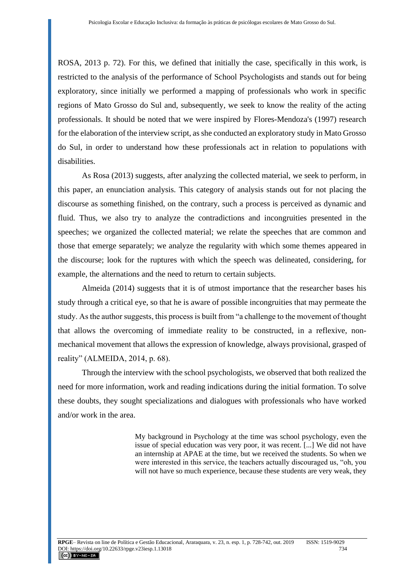ROSA, 2013 p. 72). For this, we defined that initially the case, specifically in this work, is restricted to the analysis of the performance of School Psychologists and stands out for being exploratory, since initially we performed a mapping of professionals who work in specific regions of Mato Grosso do Sul and, subsequently, we seek to know the reality of the acting professionals. It should be noted that we were inspired by Flores-Mendoza's (1997) research for the elaboration of the interview script, as she conducted an exploratory study in Mato Grosso do Sul, in order to understand how these professionals act in relation to populations with disabilities.

As Rosa (2013) suggests, after analyzing the collected material, we seek to perform, in this paper, an enunciation analysis. This category of analysis stands out for not placing the discourse as something finished, on the contrary, such a process is perceived as dynamic and fluid. Thus, we also try to analyze the contradictions and incongruities presented in the speeches; we organized the collected material; we relate the speeches that are common and those that emerge separately; we analyze the regularity with which some themes appeared in the discourse; look for the ruptures with which the speech was delineated, considering, for example, the alternations and the need to return to certain subjects.

Almeida (2014) suggests that it is of utmost importance that the researcher bases his study through a critical eye, so that he is aware of possible incongruities that may permeate the study. As the author suggests, this process is built from "a challenge to the movement of thought that allows the overcoming of immediate reality to be constructed, in a reflexive, nonmechanical movement that allows the expression of knowledge, always provisional, grasped of reality" (ALMEIDA, 2014, p. 68).

Through the interview with the school psychologists, we observed that both realized the need for more information, work and reading indications during the initial formation. To solve these doubts, they sought specializations and dialogues with professionals who have worked and/or work in the area.

> My background in Psychology at the time was school psychology, even the issue of special education was very poor, it was recent. [...] We did not have an internship at APAE at the time, but we received the students. So when we were interested in this service, the teachers actually discouraged us, "oh, you will not have so much experience, because these students are very weak, they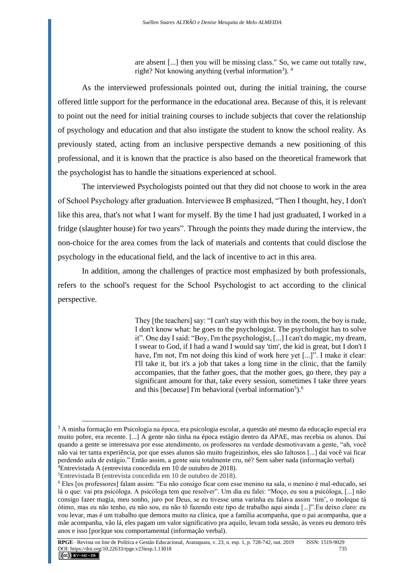are absent [...] then you will be missing class." So, we came out totally raw, right? Not knowing anything (verbal information<sup>3</sup>).<sup>4</sup>

As the interviewed professionals pointed out, during the initial training, the course offered little support for the performance in the educational area. Because of this, it is relevant to point out the need for initial training courses to include subjects that cover the relationship of psychology and education and that also instigate the student to know the school reality. As previously stated, acting from an inclusive perspective demands a new positioning of this professional, and it is known that the practice is also based on the theoretical framework that the psychologist has to handle the situations experienced at school.

The interviewed Psychologists pointed out that they did not choose to work in the area of School Psychology after graduation. Interviewee B emphasized, "Then I thought, hey, I don't like this area, that's not what I want for myself. By the time I had just graduated, I worked in a fridge (slaughter house) for two years". Through the points they made during the interview, the non-choice for the area comes from the lack of materials and contents that could disclose the psychology in the educational field, and the lack of incentive to act in this area.

In addition, among the challenges of practice most emphasized by both professionals, refers to the school's request for the School Psychologist to act according to the clinical perspective.

> They [the teachers] say: "I can't stay with this boy in the room, the boy is rude, I don't know what: he goes to the psychologist. The psychologist has to solve it". One day I said: "Boy, I'm the psychologist, [...] I can't do magic, my dream, I swear to God, if I had a wand I would say 'tim', the kid is great, but I don't I have, I'm not, I'm not doing this kind of work here yet [...]". I make it clear: I'll take it, but it's a job that takes a long time in the clinic, that the family accompanies, that the father goes, that the mother goes, go there, they pay a significant amount for that, take every session, sometimes I take three years and this [because] I'm behavioral (verbal information<sup>5</sup>).<sup>6</sup>

<sup>3</sup> A minha formação em Psicologia na época, era psicologia escolar, a questão até mesmo da educação especial era muito pobre, era recente. [...] A gente não tinha na época estágio dentro da APAE, mas recebia os alunos. Daí quando a gente se interessava por esse atendimento, os professores na verdade desmotivavam a gente, "ah, você não vai ter tanta experiência, por que esses alunos são muito frageizinhos, eles são faltosos [...] daí você vai ficar perdendo aula de estágio." Então assim, a gente saiu totalmente cru, né? Sem saber nada (informação verbal) <sup>4</sup>Entrevistada A (entrevista concedida em 10 de outubro de 2018).

<sup>5</sup>Entrevistada B (entrevista concedida em 10 de outubro de 2018).

<sup>6</sup> Eles [os professores] falam assim: "Eu não consigo ficar com esse menino na sala, o menino é mal-educado, sei lá o que: vai pra psicóloga. A psicóloga tem que resolver". Um dia eu falei: "Moço, eu sou a psicóloga, [...] não consigo fazer magia, meu sonho, juro por Deus, se eu tivesse uma varinha eu falava assim 'tim', o moleque tá ótimo, mas eu não tenho, eu não sou, eu não tô fazendo este tipo de trabalho aqui ainda [...]".Eu deixo claro: eu vou levar, mas é um trabalho que demora muito na clínica, que a família acompanha, que o pai acompanha, que a mãe acompanha, vão lá, eles pagam um valor significativo pra aquilo, levam toda sessão, às vezes eu demoro três anos e isso [por]que sou comportamental (informação verbal).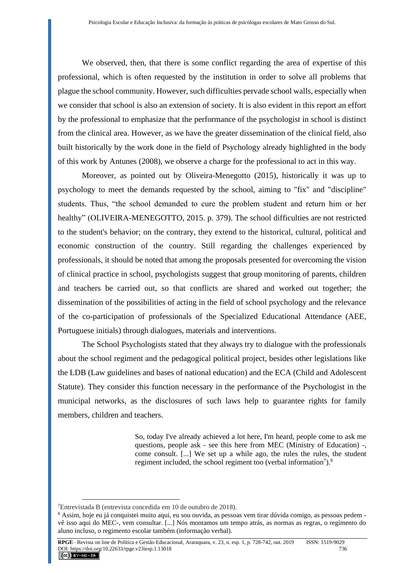We observed, then, that there is some conflict regarding the area of expertise of this professional, which is often requested by the institution in order to solve all problems that plague the school community. However, such difficulties pervade school walls, especially when we consider that school is also an extension of society. It is also evident in this report an effort by the professional to emphasize that the performance of the psychologist in school is distinct from the clinical area. However, as we have the greater dissemination of the clinical field, also built historically by the work done in the field of Psychology already highlighted in the body of this work by Antunes (2008), we observe a charge for the professional to act in this way.

Moreover, as pointed out by Oliveira-Menegotto (2015), historically it was up to psychology to meet the demands requested by the school, aiming to "fix" and "discipline" students. Thus, "the school demanded to cure the problem student and return him or her healthy" (OLIVEIRA-MENEGOTTO, 2015. p. 379). The school difficulties are not restricted to the student's behavior; on the contrary, they extend to the historical, cultural, political and economic construction of the country. Still regarding the challenges experienced by professionals, it should be noted that among the proposals presented for overcoming the vision of clinical practice in school, psychologists suggest that group monitoring of parents, children and teachers be carried out, so that conflicts are shared and worked out together; the dissemination of the possibilities of acting in the field of school psychology and the relevance of the co-participation of professionals of the Specialized Educational Attendance (AEE, Portuguese initials) through dialogues, materials and interventions.

The School Psychologists stated that they always try to dialogue with the professionals about the school regiment and the pedagogical political project, besides other legislations like the LDB (Law guidelines and bases of national education) and the ECA (Child and Adolescent Statute). They consider this function necessary in the performance of the Psychologist in the municipal networks, as the disclosures of such laws help to guarantee rights for family members, children and teachers.

> So, today I've already achieved a lot here, I'm heard, people come to ask me questions, people ask - see this here from MEC (Ministry of Education) -, come consult. [...] We set up a while ago, the rules the rules, the student regiment included, the school regiment too (verbal information<sup>7</sup>).<sup>8</sup>

<sup>7</sup>Entrevistada B (entrevista concedida em 10 de outubro de 2018).

<sup>&</sup>lt;sup>8</sup> Assim, hoje eu já conquistei muito aqui, eu sou ouvida, as pessoas vem tirar dúvida comigo, as pessoas pedem vê isso aqui do MEC-, vem consultar. [...] Nós montamos um tempo atrás, as normas as regras, o regimento do aluno incluso, o regimento escolar também (informação verbal).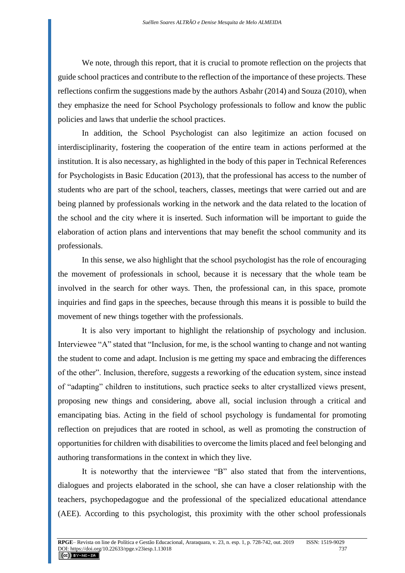We note, through this report, that it is crucial to promote reflection on the projects that guide school practices and contribute to the reflection of the importance of these projects. These reflections confirm the suggestions made by the authors Asbahr (2014) and Souza (2010), when they emphasize the need for School Psychology professionals to follow and know the public policies and laws that underlie the school practices.

In addition, the School Psychologist can also legitimize an action focused on interdisciplinarity, fostering the cooperation of the entire team in actions performed at the institution. It is also necessary, as highlighted in the body of this paper in Technical References for Psychologists in Basic Education (2013), that the professional has access to the number of students who are part of the school, teachers, classes, meetings that were carried out and are being planned by professionals working in the network and the data related to the location of the school and the city where it is inserted. Such information will be important to guide the elaboration of action plans and interventions that may benefit the school community and its professionals.

In this sense, we also highlight that the school psychologist has the role of encouraging the movement of professionals in school, because it is necessary that the whole team be involved in the search for other ways. Then, the professional can, in this space, promote inquiries and find gaps in the speeches, because through this means it is possible to build the movement of new things together with the professionals.

It is also very important to highlight the relationship of psychology and inclusion. Interviewee "A" stated that "Inclusion, for me, is the school wanting to change and not wanting the student to come and adapt. Inclusion is me getting my space and embracing the differences of the other". Inclusion, therefore, suggests a reworking of the education system, since instead of "adapting" children to institutions, such practice seeks to alter crystallized views present, proposing new things and considering, above all, social inclusion through a critical and emancipating bias. Acting in the field of school psychology is fundamental for promoting reflection on prejudices that are rooted in school, as well as promoting the construction of opportunities for children with disabilities to overcome the limits placed and feel belonging and authoring transformations in the context in which they live.

It is noteworthy that the interviewee "B" also stated that from the interventions, dialogues and projects elaborated in the school, she can have a closer relationship with the teachers, psychopedagogue and the professional of the specialized educational attendance (AEE). According to this psychologist, this proximity with the other school professionals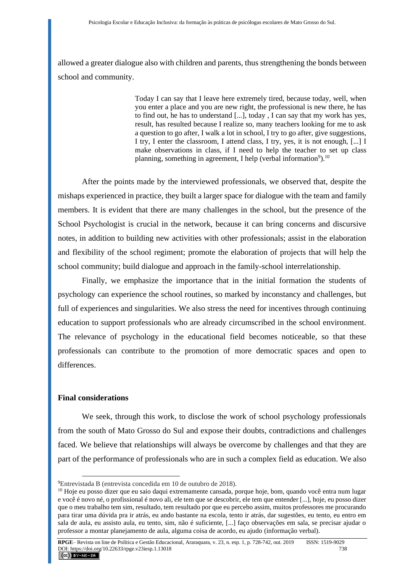allowed a greater dialogue also with children and parents, thus strengthening the bonds between school and community.

> Today I can say that I leave here extremely tired, because today, well, when you enter a place and you are new right, the professional is new there, he has to find out, he has to understand [...], today , I can say that my work has yes, result, has resulted because I realize so, many teachers looking for me to ask a question to go after, I walk a lot in school, I try to go after, give suggestions, I try, I enter the classroom, I attend class, I try, yes, it is not enough, [...] I make observations in class, if I need to help the teacher to set up class planning, something in agreement, I help (verbal information<sup>9</sup>).<sup>10</sup>

After the points made by the interviewed professionals, we observed that, despite the mishaps experienced in practice, they built a larger space for dialogue with the team and family members. It is evident that there are many challenges in the school, but the presence of the School Psychologist is crucial in the network, because it can bring concerns and discursive notes, in addition to building new activities with other professionals; assist in the elaboration and flexibility of the school regiment; promote the elaboration of projects that will help the school community; build dialogue and approach in the family-school interrelationship.

Finally, we emphasize the importance that in the initial formation the students of psychology can experience the school routines, so marked by inconstancy and challenges, but full of experiences and singularities. We also stress the need for incentives through continuing education to support professionals who are already circumscribed in the school environment. The relevance of psychology in the educational field becomes noticeable, so that these professionals can contribute to the promotion of more democratic spaces and open to differences.

### **Final considerations**

We seek, through this work, to disclose the work of school psychology professionals from the south of Mato Grosso do Sul and expose their doubts, contradictions and challenges faced. We believe that relationships will always be overcome by challenges and that they are part of the performance of professionals who are in such a complex field as education. We also

<sup>9</sup>Entrevistada B (entrevista concedida em 10 de outubro de 2018).

<sup>&</sup>lt;sup>10</sup> Hoje eu posso dizer que eu saio daqui extremamente cansada, porque hoje, bom, quando você entra num lugar e você é novo né, o profissional é novo ali, ele tem que se descobrir, ele tem que entender [...], hoje, eu posso dizer que o meu trabalho tem sim, resultado, tem resultado por que eu percebo assim, muitos professores me procurando para tirar uma dúvida pra ir atrás, eu ando bastante na escola, tento ir atrás, dar sugestões, eu tento, eu entro em sala de aula, eu assisto aula, eu tento, sim, não é suficiente, [...] faço observações em sala, se precisar ajudar o professor a montar planejamento de aula, alguma coisa de acordo, eu ajudo (informação verbal).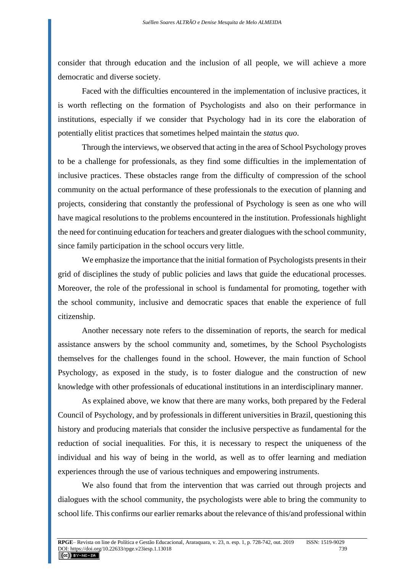consider that through education and the inclusion of all people, we will achieve a more democratic and diverse society.

Faced with the difficulties encountered in the implementation of inclusive practices, it is worth reflecting on the formation of Psychologists and also on their performance in institutions, especially if we consider that Psychology had in its core the elaboration of potentially elitist practices that sometimes helped maintain the *status quo*.

Through the interviews, we observed that acting in the area of School Psychology proves to be a challenge for professionals, as they find some difficulties in the implementation of inclusive practices. These obstacles range from the difficulty of compression of the school community on the actual performance of these professionals to the execution of planning and projects, considering that constantly the professional of Psychology is seen as one who will have magical resolutions to the problems encountered in the institution. Professionals highlight the need for continuing education for teachers and greater dialogues with the school community, since family participation in the school occurs very little.

We emphasize the importance that the initial formation of Psychologists presents in their grid of disciplines the study of public policies and laws that guide the educational processes. Moreover, the role of the professional in school is fundamental for promoting, together with the school community, inclusive and democratic spaces that enable the experience of full citizenship.

Another necessary note refers to the dissemination of reports, the search for medical assistance answers by the school community and, sometimes, by the School Psychologists themselves for the challenges found in the school. However, the main function of School Psychology, as exposed in the study, is to foster dialogue and the construction of new knowledge with other professionals of educational institutions in an interdisciplinary manner.

As explained above, we know that there are many works, both prepared by the Federal Council of Psychology, and by professionals in different universities in Brazil, questioning this history and producing materials that consider the inclusive perspective as fundamental for the reduction of social inequalities. For this, it is necessary to respect the uniqueness of the individual and his way of being in the world, as well as to offer learning and mediation experiences through the use of various techniques and empowering instruments.

We also found that from the intervention that was carried out through projects and dialogues with the school community, the psychologists were able to bring the community to school life. This confirms our earlier remarks about the relevance of this/and professional within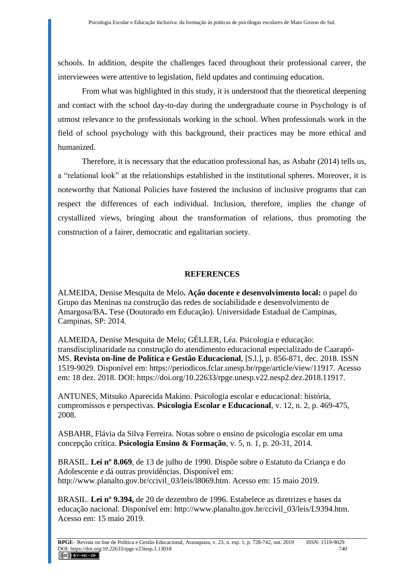schools. In addition, despite the challenges faced throughout their professional career, the interviewees were attentive to legislation, field updates and continuing education.

From what was highlighted in this study, it is understood that the theoretical deepening and contact with the school day-to-day during the undergraduate course in Psychology is of utmost relevance to the professionals working in the school. When professionals work in the field of school psychology with this background, their practices may be more ethical and humanized.

Therefore, it is necessary that the education professional has, as Asbahr (2014) tells us, a "relational look" at the relationships established in the institutional spheres. Moreover, it is noteworthy that National Policies have fostered the inclusion of inclusive programs that can respect the differences of each individual. Inclusion, therefore, implies the change of crystallized views, bringing about the transformation of relations, thus promoting the construction of a fairer, democratic and egalitarian society.

#### **REFERENCES**

ALMEIDA, Denise Mesquita de Melo**. Ação docente e desenvolvimento local:** o papel do Grupo das Meninas na construção das redes de sociabilidade e desenvolvimento de Amargosa/BA**.** Tese (Doutorado em Educação). Universidade Estadual de Campinas, Campinas, SP: 2014.

ALMEIDA, Denise Mesquita de Melo; GÉLLER, Léa. Psicologia e educação: transdisciplinaridade na construção do atendimento educacional especializado de Caarapó-MS. **Revista on-line de Política e Gestão Educacional**, [S.l.], p. 856-871, dec. 2018. ISSN 1519-9029. Disponível em: https://periodicos.fclar.unesp.br/rpge/article/view/11917. Acesso em: 18 dez. 2018. DOI: [https://doi.org/10.22633/rpge.unesp.v22.nesp2.dez.2018.11917.](https://doi.org/10.22633/rpge.unesp.v22.nesp2.dez.2018.11917)

ANTUNES, Mitsuko Aparecida Makino. Psicologia escolar e educacional: história, compromissos e perspectivas. **Psicologia Escolar e Educacional**, v. 12, n. 2, p. 469-475, 2008.

ASBAHR, Flávia da Silva Ferreira. Notas sobre o ensino de psicologia escolar em uma concepção crítica. **Psicologia Ensino & Formação**, v. 5, n. 1, p. 20-31, 2014.

BRASIL. **Lei nº 8.069**, de 13 de julho de 1990. Dispõe sobre o Estatuto da Criança e do Adolescente e dá outras providências. Disponível em: [http://www.planalto.gov.br/ccivil\\_03/leis/l8069.htm. Acesso](http://www.planalto.gov.br/ccivil_03/leis/l8069.htm.%20Acesso) em: 15 maio 2019.

BRASIL. **Lei nº 9.394,** de 20 de dezembro de 1996. Estabelece as diretrizes e bases da educação nacional. Disponível em: http://www.planalto.gov.br/ccivil\_03/leis/L9394.htm. Acesso em: 15 maio 2019.